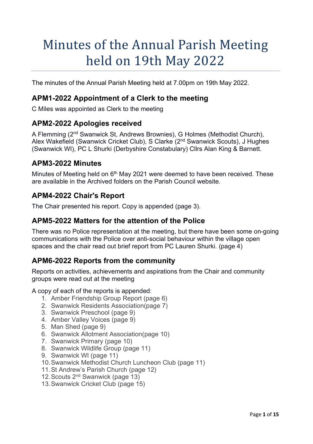# Minutes of the Annual Parish Meeting held on 19th May 2022

The minutes of the Annual Parish Meeting held at 7.00pm on 19th May 2022.

### **APM1-2022 Appointment of a Clerk to the meeting**

C Miles was appointed as Clerk to the meeting

### **APM2-2022 Apologies received**

A Flemming (2nd Swanwick St, Andrews Brownies), G Holmes (Methodist Church), Alex Wakefield (Swanwick Cricket Club), S Clarke (2nd Swanwick Scouts), J Hughes (Swanwick WI), PC L Shurki (Derbyshire Constabulary) Cllrs Alan King & Barnett.

### **APM3-2022 Minutes**

Minutes of Meeting held on 6<sup>th</sup> May 2021 were deemed to have been received. These are available in the Archived folders on the Parish Council website.

### **APM4-2022 Chair's Report**

The Chair presented his report. Copy is appended (page 3).

### **APM5-2022 Matters for the attention of the Police**

There was no Police representation at the meeting, but there have been some on-going communications with the Police over anti-social behaviour within the village open spaces and the chair read out brief report from PC Lauren Shurki. (page 4)

### **APM6-2022 Reports from the community**

Reports on activities, achievements and aspirations from the Chair and community groups were read out at the meeting

A copy of each of the reports is appended:

- 1. Amber Friendship Group Report (page 6)
- 2. Swanwick Residents Association(page 7)
- 3. Swanwick Preschool (page 9)
- 4. Amber Valley Voices (page 9)
- 5. Man Shed (page 9)
- 6. Swanwick Allotment Association(page 10)
- 7. Swanwick Primary (page 10)
- 8. Swanwick Wildlife Group (page 11)
- 9. Swanwick WI (page 11)
- 10.Swanwick Methodist Church Luncheon Club (page 11)
- 11. St Andrew's Parish Church (page 12)
- 12.Scouts 2nd Swanwick (page 13)
- 13.Swanwick Cricket Club (page 15)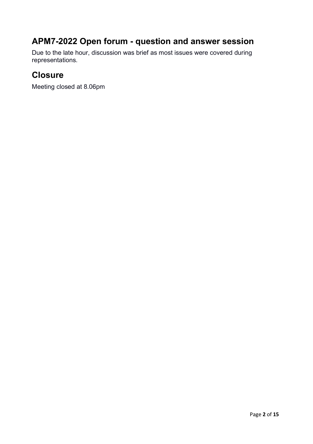# **APM7-2022 Open forum - question and answer session**

Due to the late hour, discussion was brief as most issues were covered during representations.

### **Closure**

Meeting closed at 8.06pm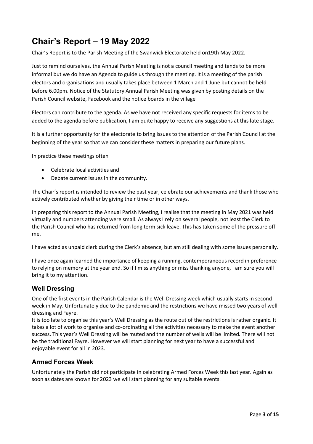# **Chair's Report – 19 May 2022**

Chair's Report is to the Parish Meeting of the Swanwick Electorate held on19th May 2022.

Just to remind ourselves, the Annual Parish Meeting is not a council meeting and tends to be more informal but we do have an Agenda to guide us through the meeting. It is a meeting of the parish electors and organisations and usually takes place between 1 March and 1 June but cannot be held before 6.00pm. Notice of the Statutory Annual Parish Meeting was given by posting details on the Parish Council website, Facebook and the notice boards in the village

Electors can contribute to the agenda. As we have not received any specific requests for items to be added to the agenda before publication, I am quite happy to receive any suggestions at this late stage.

It is a further opportunity for the electorate to bring issues to the attention of the Parish Council at the beginning of the year so that we can consider these matters in preparing our future plans.

In practice these meetings often

- Celebrate local activities and
- Debate current issues in the community.

The Chair's report is intended to review the past year, celebrate our achievements and thank those who actively contributed whether by giving their time or in other ways.

In preparing this report to the Annual Parish Meeting, I realise that the meeting in May 2021 was held virtually and numbers attending were small. As always I rely on several people, not least the Clerk to the Parish Council who has returned from long term sick leave. This has taken some of the pressure off me.

I have acted as unpaid clerk during the Clerk's absence, but am still dealing with some issues personally.

I have once again learned the importance of keeping a running, contemporaneous record in preference to relying on memory at the year end. So if I miss anything or miss thanking anyone, I am sure you will bring it to my attention.

### **Well Dressing**

One of the first events in the Parish Calendar is the Well Dressing week which usually starts in second week in May. Unfortunately due to the pandemic and the restrictions we have missed two years of well dressing and Fayre.

It is too late to organise this year's Well Dressing as the route out of the restrictions is rather organic. It takes a lot of work to organise and co-ordinating all the activities necessary to make the event another success. This year's Well Dressing will be muted and the number of wells will be limited. There will not be the traditional Fayre. However we will start planning for next year to have a successful and enjoyable event for all in 2023.

#### **Armed Forces Week**

Unfortunately the Parish did not participate in celebrating Armed Forces Week this last year. Again as soon as dates are known for 2023 we will start planning for any suitable events.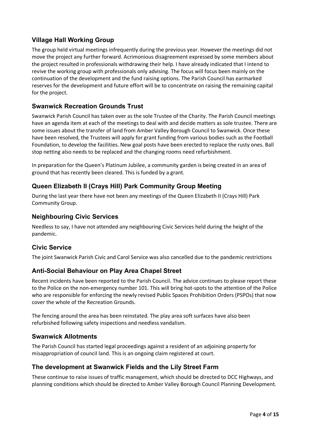### **Village Hall Working Group**

The group held virtual meetings infrequently during the previous year. However the meetings did not move the project any further forward. Acrimonious disagreement expressed by some members about the project resulted in professionals withdrawing their help. I have already indicated that I intend to revive the working group with professionals only advising. The focus will focus been mainly on the continuation of the development and the fund raising options. The Parish Council has earmarked reserves for the development and future effort will be to concentrate on raising the remaining capital for the project.

### **Swanwick Recreation Grounds Trust**

Swanwick Parish Council has taken over as the sole Trustee of the Charity. The Parish Council meetings have an agenda item at each of the meetings to deal with and decide matters as sole trustee. There are some issues about the transfer of land from Amber Valley Borough Council to Swanwick. Once these have been resolved, the Trustees will apply for grant funding from various bodies such as the Football Foundation, to develop the facilities. New goal posts have been erected to replace the rusty ones. Ball stop netting also needs to be replaced and the changing rooms need refurbishment.

In preparation for the Queen's Platinum Jubilee, a community garden is being created in an area of ground that has recently been cleared. This is funded by a grant.

### **Queen Elizabeth II (Crays Hill) Park Community Group Meeting**

During the last year there have not been any meetings of the Queen Elizabeth II (Crays Hill) Park Community Group.

### **Neighbouring Civic Services**

Needless to say, I have not attended any neighbouring Civic Services held during the height of the pandemic.

### **Civic Service**

The joint Swanwick Parish Civic and Carol Service was also cancelled due to the pandemic restrictions

### **Anti-Social Behaviour on Play Area Chapel Street**

Recent incidents have been reported to the Parish Council. The advice continues to please report these to the Police on the non-emergency number 101. This will bring hot-spots to the attention of the Police who are responsible for enforcing the newly revised Public Spaces Prohibition Orders (PSPOs) that now cover the whole of the Recreation Grounds.

The fencing around the area has been reinstated. The play area soft surfaces have also been refurbished following safety inspections and needless vandalism.

#### **Swanwick Allotments**

The Parish Council has started legal proceedings against a resident of an adjoining property for misappropriation of council land. This is an ongoing claim registered at court.

### **The development at Swanwick Fields and the Lily Street Farm**

These continue to raise issues of traffic management, which should be directed to DCC Highways, and planning conditions which should be directed to Amber Valley Borough Council Planning Development.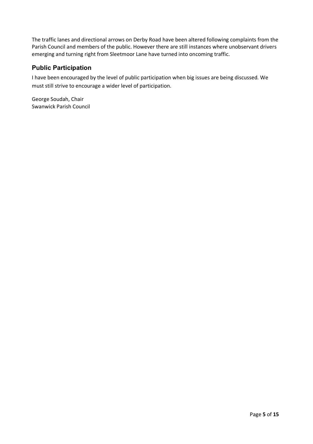The traffic lanes and directional arrows on Derby Road have been altered following complaints from the Parish Council and members of the public. However there are still instances where unobservant drivers emerging and turning right from Sleetmoor Lane have turned into oncoming traffic.

### **Public Participation**

I have been encouraged by the level of public participation when big issues are being discussed. We must still strive to encourage a wider level of participation.

George Soudah, Chair Swanwick Parish Council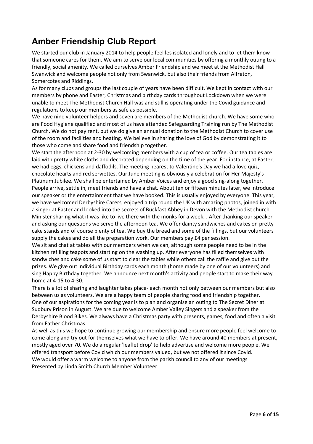# **Amber Friendship Club Report**

We started our club in January 2014 to help people feel les isolated and lonely and to let them know that someone cares for them. We aim to serve our local communities by offering a monthly outing to a friendly, social amenity. We called ourselves Amber Friendship and we meet at the Methodist Hall Swanwick and welcome people not only from Swanwick, but also their friends from Alfreton, Somercotes and Riddings.

As for many clubs and groups the last couple of years have been difficult. We kept in contact with our members by phone and Easter, Christmas and birthday cards throughout Lockdown when we were unable to meet The Methodist Church Hall was and still is operating under the Covid guidance and regulations to keep our members as safe as possible.

We have nine volunteer helpers and seven are members of the Methodist church. We have some who are Food Hygiene qualified and most of us have attended Safeguarding Training run by The Methodist Church. We do not pay rent, but we do give an annual donation to the Methodist Church to cover use of the room and facilities and heating. We believe in sharing the love of God by demonstrating it to those who come and share food and friendship together.

We start the afternoon at 2-30 by welcoming members with a cup of tea or coffee. Our tea tables are laid with pretty white cloths and decorated depending on the time of the year. For instance, at Easter, we had eggs, chickens and daffodils. The meeting nearest to Valentine's Day we had a love quiz, chocolate hearts and red serviettes. Our June meeting is obviously a celebration for Her Majesty's Platinum Jubilee. We shall be entertained by Amber Voices and enjoy a good sing-along together. People arrive, settle in, meet friends and have a chat. About ten or fifteen minutes later, we introduce our speaker or the entertainment that we have booked. This is usually enjoyed by everyone. This year, we have welcomed Derbyshire Carers, enjoyed a trip round the UK with amazing photos, joined in with a singer at Easter and looked into the secrets of Buckfast Abbey in Devon with the Methodist church Minister sharing what it was like to live there with the monks for a week, . After thanking our speaker and asking our questions we serve the afternoon tea. We offer dainty sandwiches and cakes on pretty cake stands and of course plenty of tea. We buy the bread and some of the fillings, but our volunteers supply the cakes and do all the preparation work. Our members pay £4 per session.

We sit and chat at tables with our members when we can, although some people need to be in the kitchen refilling teapots and starting on the washing up. After everyone has filled themselves with sandwiches and cake some of us start to clear the tables while others call the raffle and give out the prizes. We give out individual Birthday cards each month (home made by one of our volunteers) and sing Happy Birthday together. We announce next month's activity and people start to make their way home at 4-15 to 4-30.

There is a lot of sharing and laughter takes place- each month not only between our members but also between us as volunteers. We are a happy team of people sharing food and friendship together. One of our aspirations for the coming year is to plan and organise an outing to The Secret Diner at Sudbury Prison in August. We are due to welcome Amber Valley Singers and a speaker from the Derbyshire Blood Bikes. We always have a Christmas party with presents, games, food and often a visit from Father Christmas.

As well as this we hope to continue growing our membership and ensure more people feel welcome to come along and try out for themselves what we have to offer. We have around 40 members at present, mostly aged over 70. We do a regular 'leaflet drop' to help advertise and welcome more people. We offered transport before Covid which our members valued, but we not offered it since Covid. We would offer a warm welcome to anyone from the parish council to any of our meetings Presented by Linda Smith Church Member Volunteer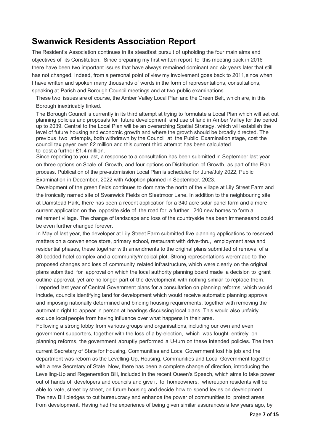### **Swanwick Residents Association Report**

The Resident's Association continues in its steadfast pursuit of upholding the four main aims and objectives of its Constitution. Since preparing my first written report to this meeting back in 2016 there have been two important issues that have always remained dominant and six years later that still has not changed. Indeed, from a personal point of view my involvement goes back to 2011, since when I have written and spoken many thousands of words in the form of representations, consultations, speaking at Parish and Borough Council meetings and at two public examinations.

These two issues are of course, the Amber Valley Local Plan and the Green Belt, which are, in this Borough inextricably linked.

The Borough Council is currently in its third attempt at trying to formulate a Local Plan which will set out planning policies and proposals for future development and use of land in Amber Valley for the period up to 2039. Central to the Local Plan will be an overarching Spatial Strategy, which will establish the level of future housing and economic growth and where the growth should be broadly directed. The previous two attempts, both withdrawn by the Council at the Public Examination stage, cost the council tax payer over £2 million and this current third attempt has been calculated to cost a further £1.4 million.

Since reporting to you last, a response to a consultation has been submitted in September last year on three options on Scale of Growth, and four options on Distribution of Growth, as part of the Plan process. Publication of the pre-submission Local Plan is scheduled for June/July 2022, Public Examination in December, 2022 with Adoption planned in September, 2023.

Development of the green fields continues to dominate the north of the village at Lily Street Farm and the ironically named site of Swanwick Fields on Sleetmoor Lane. In addition to the neighbouring site at Damstead Park, there has been a recent application for a 340 acre solar panel farm and a more current application on the opposite side of the road for a further 240 new homes to form a retirement village. The change of landscape and loss of the countryside has been immenseand could be even further changed forever.

In May of last year, the developer at Lily Street Farm submitted five planning applications to reserved matters on a convenience store, primary school, restaurant with drive-thru, employment area and residential phases, these together with amendments to the original plans submitted of removal of a 80 bedded hotel complex and a community/medical plot. Strong representations weremade to the proposed changes and loss of community related infrastructure, which were clearly on the original plans submitted for approval on which the local authority planning board made a decision to grant outline approval, yet are no longer part of the development with nothing similar to replace them. I reported last year of Central Government plans for a consultation on planning reforms, which would include, councils identifying land for development which would receive automatic planning approval and imposing nationally determined and binding housing requirements, together with removing the automatic right to appear in person at hearings discussing local plans. This would also unfairly exclude local people from having influence over what happens in their area.

Following a strong lobby from various groups and organisations, including our own and even government supporters, together with the loss of a by-election, which was fought entirely on planning reforms, the government abruptly performed a U-turn on these intended policies. The then

current Secretary of State for Housing, Communities and Local Government lost his job and the department was reborn as the Levelling-Up, Housing, Communities and Local Government together with a new Secretary of State. Now, there has been a complete change of direction, introducing the Levelling-Up and Regeneration Bill, included in the recent Queen's Speech, which aims to take power out of hands of developers and councils and give it to homeowners, whereupon residents will be able to vote, street by street, on future housing and decide how to spend levies on development. The new Bill pledges to cut bureaucracy and enhance the power of communities to protect areas from development. Having had the experience of being given similar assurances a few years ago, by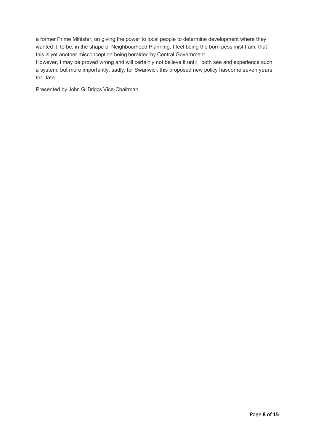a former Prime Minister, on giving the power to local people to determine development where they wanted it to be, in the shape of Neighbourhood Planning, I feel being the born pessimist I am, that this is yet another misconception being heralded by Central Government.

However, I may be proved wrong and will certainly not believe it until I both see and experience such a system, but more importantly, sadly, for Swanwick this proposed new policy hascome seven years too late.

Presented by John G. Briggs Vice-Chairman.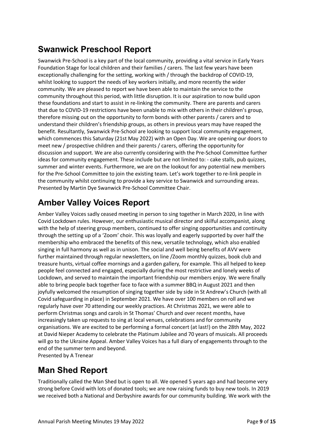# **Swanwick Preschool Report**

Swanwick Pre-School is a key part of the local community, providing a vital service in Early Years Foundation Stage for local children and their families / carers. The last few years have been exceptionally challenging for the setting, working with / through the backdrop of COVID-19, whilst looking to support the needs of key workers initially, and more recently the wider community. We are pleased to report we have been able to maintain the service to the community throughout this period, with little disruption. It is our aspiration to now build upon these foundations and start to assist in re-linking the community. There are parents and carers that due to COVID-19 restrictions have been unable to mix with others in their children's group, therefore missing out on the opportunity to form bonds with other parents / carers and to understand their children's friendship groups, as others in previous years may have reaped the benefit. Resultantly, Swanwick Pre-School are looking to support local community engagement, which commences this Saturday (21st May 2022) with an Open Day. We are opening our doors to meet new / prospective children and their parents / carers, offering the opportunity for discussion and support. We are also currently considering with the Pre-School Committee further ideas for community engagement. These include but are not limited to: - cake stalls, pub quizzes, summer and winter events. Furthermore, we are on the lookout for any potential new members for the Pre-School Committee to join the existing team. Let's work together to re-link people in the community whilst continuing to provide a key service to Swanwick and surrounding areas. Presented by Martin Dye Swanwick Pre-School Committee Chair.

# **Amber Valley Voices Report**

Amber Valley Voices sadly ceased meeting in person to sing together in March 2020, in line with Covid Lockdown rules. However, our enthusiastic musical director and skilful accompanist, along with the help of steering group members, continued to offer singing opportunities and continuity through the setting up of a 'Zoom' choir. This was loyally and eagerly supported by over half the membership who embraced the benefits of this new, versatile technology, which also enabled singing in full harmony as well as in unison. The social and well being benefits of AVV were further maintained through regular newsletters, on line /Zoom monthly quizzes, book club and treasure hunts, virtual coffee mornings and a garden gallery, for example. This all helped to keep people feel connected and engaged, especially during the most restrictive and lonely weeks of Lockdown, and served to maintain the important friendship our members enjoy. We were finally able to bring people back together face to face with a summer BBQ in August 2021 and then joyfully welcomed the resumption of singing together side by side in St Andrew's Church (with all Covid safeguarding in place) in September 2021. We have over 100 members on roll and we regularly have over 70 attending our weekly practices. At Christmas 2021, we were able to perform Christmas songs and carols in St Thomas' Church and over recent months, have increasingly taken up requests to sing at local venues, celebrations and for community organisations. We are excited to be performing a formal concert (at last!) on the 28th May, 2022 at David Nieper Academy to celebrate the Platinum Jubilee and 70 years of musicals. All proceeds will go to the Ukraine Appeal. Amber Valley Voices has a full diary of engagements through to the end of the summer term and beyond. Presented by A Trenear

# **Man Shed Report**

Traditionally called the Man Shed but is open to all. We opened 5 years ago and had become very strong before Covid with lots of donated tools; we are now raising funds to buy new tools. In 2019 we received both a National and Derbyshire awards for our community building. We work with the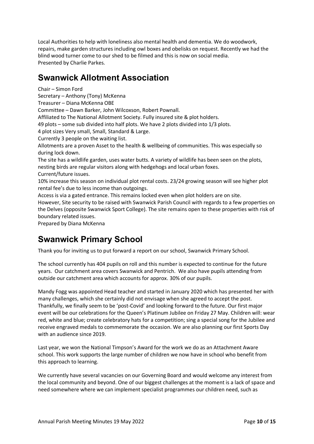Local Authorities to help with loneliness also mental health and dementia. We do woodwork, repairs, make garden structures including owl boxes and obelisks on request. Recently we had the blind wood turner come to our shed to be filmed and this is now on social media. Presented by Charlie Parkes.

# **Swanwick Allotment Association**

Chair – Simon Ford Secretary – Anthony (Tony) McKenna Treasurer – Diana McKenna OBE Committee – Dawn Barker, John Wilcoxson, Robert Pownall. Affiliated to The National Allotment Society. Fully insured site & plot holders. 49 plots – some sub divided into half plots. We have 2 plots divided into 1/3 plots. 4 plot sizes Very small, Small, Standard & Large. Currently 3 people on the waiting list. Allotments are a proven Asset to the health & wellbeing of communities. This was especially so during lock down. The site has a wildlife garden, uses water butts. A variety of wildlife has been seen on the plots, nesting birds are regular visitors along with hedgehogs and local urban foxes. Current/future issues. 10% increase this season on individual plot rental costs. 23/24 growing season will see higher plot rental fee's due to less income than outgoings. Access is via a gated entrance. This remains locked even when plot holders are on site. However, Site security to be raised with Swanwick Parish Council with regards to a few properties on the Delves (opposite Swanwick Sport College). The site remains open to these properties with risk of boundary related issues. Prepared by Diana McKenna

## **Swanwick Primary School**

Thank you for inviting us to put forward a report on our school, Swanwick Primary School.

The school currently has 404 pupils on roll and this number is expected to continue for the future years. Our catchment area covers Swanwick and Pentrich. We also have pupils attending from outside our catchment area which accounts for approx. 30% of our pupils.

Mandy Fogg was appointed Head teacher and started in January 2020 which has presented her with many challenges, which she certainly did not envisage when she agreed to accept the post. Thankfully, we finally seem to be 'post-Covid' and looking forward to the future. Our first major event will be our celebrations for the Queen's Platinum Jubilee on Friday 27 May. Children will: wear red, white and blue; create celebratory hats for a competition; sing a special song for the Jubilee and receive engraved medals to commemorate the occasion. We are also planning our first Sports Day with an audience since 2019.

Last year, we won the National Timpson's Award for the work we do as an Attachment Aware school. This work supports the large number of children we now have in school who benefit from this approach to learning.

We currently have several vacancies on our Governing Board and would welcome any interest from the local community and beyond. One of our biggest challenges at the moment is a lack of space and need somewhere where we can implement specialist programmes our children need, such as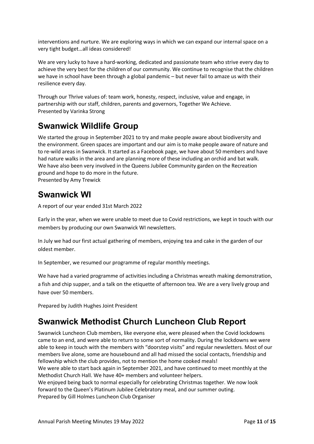interventions and nurture. We are exploring ways in which we can expand our internal space on a very tight budget…all ideas considered!

We are very lucky to have a hard-working, dedicated and passionate team who strive every day to achieve the very best for the children of our community. We continue to recognise that the children we have in school have been through a global pandemic – but never fail to amaze us with their resilience every day.

Through our Thrive values of: team work, honesty, respect, inclusive, value and engage, in partnership with our staff, children, parents and governors, Together We Achieve. Presented by Varinka Strong

# **Swanwick Wildlife Group**

We started the group in September 2021 to try and make people aware about biodiversity and the environment. Green spaces are important and our aim is to make people aware of nature and to re-wild areas in Swanwick. It started as a Facebook page, we have about 50 members and have had nature walks in the area and are planning more of these including an orchid and bat walk. We have also been very involved in the Queens Jubilee Community garden on the Recreation ground and hope to do more in the future. Presented by Amy Trewick

# **Swanwick WI**

A report of our year ended 31st March 2022

Early in the year, when we were unable to meet due to Covid restrictions, we kept in touch with our members by producing our own Swanwick WI newsletters.

In July we had our first actual gathering of members, enjoying tea and cake in the garden of our oldest member.

In September, we resumed our programme of regular monthly meetings.

We have had a varied programme of activities including a Christmas wreath making demonstration, a fish and chip supper, and a talk on the etiquette of afternoon tea. We are a very lively group and have over 50 members.

Prepared by Judith Hughes Joint President

# **Swanwick Methodist Church Luncheon Club Report**

Swanwick Luncheon Club members, like everyone else, were pleased when the Covid lockdowns came to an end, and were able to return to some sort of normality. During the lockdowns we were able to keep in touch with the members with "doorstep visits" and regular newsletters. Most of our members live alone, some are housebound and all had missed the social contacts, friendship and fellowship which the club provides, not to mention the home cooked meals!

We were able to start back again in September 2021, and have continued to meet monthly at the Methodist Church Hall. We have 40+ members and volunteer helpers.

We enjoyed being back to normal especially for celebrating Christmas together. We now look forward to the Queen's Platinum Jubilee Celebratory meal, and our summer outing. Prepared by Gill Holmes Luncheon Club Organiser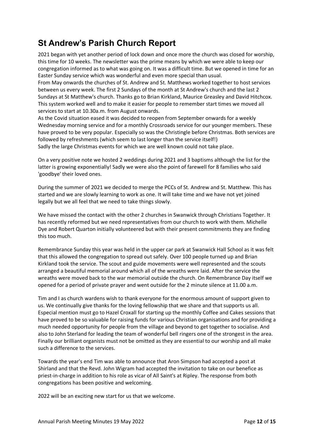# **St Andrew's Parish Church Report**

2021 began with yet another period of lock down and once more the church was closed for worship, this time for 10 weeks. The newsletter was the prime means by which we were able to keep our congregation informed as to what was going on. It was a difficult time. But we opened in time for an Easter Sunday service which was wonderful and even more special than usual.

From May onwards the churches of St. Andrew and St. Matthews worked together to host services between us every week. The first 2 Sundays of the month at St Andrew's church and the last 2 Sundays at St Matthew's church. Thanks go to Brian Kirkland, Maurice Greasley and David Hitchcox. This system worked well and to make it easier for people to remember start times we moved all services to start at 10.30a.m. from August onwards.

As the Covid situation eased it was decided to reopen from September onwards for a weekly Wednesday morning service and for a monthly Crossroads service for our younger members. These have proved to be very popular. Especially so was the Christingle before Christmas. Both services are followed by refreshments (which seem to last longer than the service itself!) Sadly the large Christmas events for which we are well known could not take place.

On a very positive note we hosted 2 weddings during 2021 and 3 baptisms although the list for the latter is growing exponentially! Sadly we were also the point of farewell for 8 families who said 'goodbye' their loved ones.

During the summer of 2021 we decided to merge the PCCs of St. Andrew and St. Matthew. This has started and we are slowly learning to work as one. It will take time and we have not yet joined legally but we all feel that we need to take things slowly.

We have missed the contact with the other 2 churches in Swanwick through Christians Together. It has recently reformed but we need representatives from our church to work with them. Michelle Dye and Robert Quarton initially volunteered but with their present commitments they are finding this too much.

Remembrance Sunday this year was held in the upper car park at Swanwick Hall School as it was felt that this allowed the congregation to spread out safely. Over 100 people turned up and Brian Kirkland took the service. The scout and guide movements were well represented and the scouts arranged a beautiful memorial around which all of the wreaths were laid. After the service the wreaths were moved back to the war memorial outside the church. On Remembrance Day itself we opened for a period of private prayer and went outside for the 2 minute silence at 11.00 a.m.

Tim and I as church wardens wish to thank everyone for the enormous amount of support given to us. We continually give thanks for the loving fellowship that we share and that supports us all. Especial mention must go to Hazel Croxall for starting up the monthly Coffee and Cakes sessions that have proved to be so valuable for raising funds for various Christian organisations and for providing a much needed opportunity for people from the village and beyond to get together to socialise. And also to John Sterland for leading the team of wonderful bell ringers one of the strongest in the area. Finally our brilliant organists must not be omitted as they are essential to our worship and all make such a difference to the services.

Towards the year's end Tim was able to announce that Aron Simpson had accepted a post at Shirland and that the Revd. John Wigram had accepted the invitation to take on our benefice as priest-in-charge in addition to his role as vicar of All Saint's at Ripley. The response from both congregations has been positive and welcoming.

2022 will be an exciting new start for us that we welcome.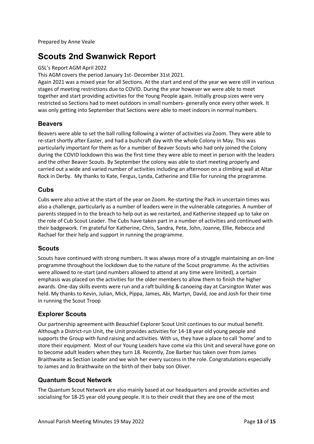Prepared by Anne Veale

# **Scouts 2nd Swanwick Report**

#### GSL's Report AGM April 2022

This AGM covers the period January 1st- December 31st 2021.

Again 2021 was a mixed year for all Sections. At the start and end of the year we were still in various stages of meeting restrictions due to COVID. During the year however we were able to meet together and start providing activities for the Young People again. Initially group sizes were very restricted so Sections had to meet outdoors in small numbers- generally once every other week. It was only getting into September that Sections were able to meet indoors in normal numbers.

### **Beavers**

Beavers were able to set the ball rolling following a winter of activities via Zoom. They were able to re-start shortly after Easter, and had a bushcraft day with the whole Colony in May. This was particularly important for them as for a number of Beaver Scouts who had only joined the Colony during the COVID lockdown this was the first time they were able to meet in person with the leaders and the other Beaver Scouts. By September the colony was able to start meeting properly and carried out a wide and varied number of activities including an afternoon on a climbing wall at Altar Rock in Derby. My thanks to Kate, Fergus, Lynda, Catherine and Ellie for running the programme.

### **Cubs**

Cubs were also active at the start of the year on Zoom. Re-starting the Pack in uncertain times was also a challenge, particularly as a number of leaders were in the vulnerable categories. A number of parents stepped in to the breach to help out as we restarted, and Katherine stepped up to take on the role of Cub Scout Leader. The Cubs have taken part in a number of activities and continued with their badgework. I'm grateful for Katherine, Chris, Sandra, Pete, John, Joanne, Ellie, Rebecca and Rachael for their help and support in running the programme.

### **Scouts**

Scouts have continued with strong numbers. It was always more of a struggle maintaining an on-line programme throughout the lockdown due to the nature of the Scout programme. As the activities were allowed to re-start (and numbers allowed to attend at any time were limited), a certain emphasis was placed on the activities for the older members to allow them to finish the higher awards. One-day skills events were run and a raft building & canoeing day at Carsington Water was held. My thanks to Kevin, Julian, Mick, Pippa, James, Abi, Martyn, David, Joe and Josh for their time in running the Scout Troop

### **Explorer Scouts**

Our partnership agreement with Beauchief Explorer Scout Unit continues to our mutual benefit. Although a District-run Unit, the Unit provides activities for 14-18 year old young people and supports the Group with fund raising and activities. With us, they have a place to call 'home' and to store their equipment. Most of our Young Leaders have come via this Unit and several have gone on to become adult leaders when they turn 18. Recently, Zoe Barber has taken over from James Braithwaite as Section Leader and we wish her every success in the role. Congratulations especially to James and Jo Braithwaite on the birth of their baby son Oliver.

### **Quantum Scout Network**

The Quantum Scout Network are also mainly based at our headquarters and provide activities and socialising for 18-25 year old young people. It is to their credit that they are one of the most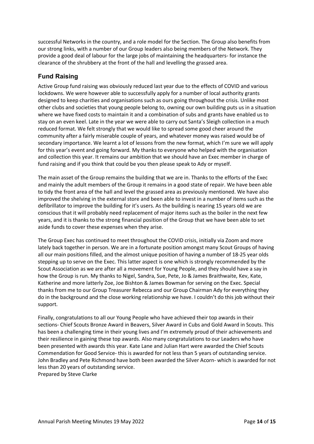successful Networks in the country, and a role model for the Section. The Group also benefits from our strong links, with a number of our Group leaders also being members of the Network. They provide a good deal of labour for the large jobs of maintaining the headquarters- for instance the clearance of the shrubbery at the front of the hall and levelling the grassed area.

### **Fund Raising**

Active Group fund raising was obviously reduced last year due to the effects of COVID and various lockdowns. We were however able to successfully apply for a number of local authority grants designed to keep charities and organisations such as ours going throughout the crisis. Unlike most other clubs and societies that young people belong to, owning our own building puts us in a situation where we have fixed costs to maintain it and a combination of subs and grants have enabled us to stay on an even keel. Late in the year we were able to carry out Santa's Sleigh collection in a much reduced format. We felt strongly that we would like to spread some good cheer around the community after a fairly miserable couple of years, and whatever money was raised would be of secondary importance. We learnt a lot of lessons from the new format, which I'm sure we will apply for this year's event and going forward. My thanks to everyone who helped with the organisation and collection this year. It remains our ambition that we should have an Exec member in charge of fund raising and if you think that could be you then please speak to Ady or myself.

The main asset of the Group remains the building that we are in. Thanks to the efforts of the Exec and mainly the adult members of the Group it remains in a good state of repair. We have been able to tidy the front area of the hall and level the grassed area as previously mentioned. We have also improved the shelving in the external store and been able to invest in a number of items such as the defibrillator to improve the building for it's users. As the building is nearing 15 years old we are conscious that it will probably need replacement of major items such as the boiler in the next few years, and it is thanks to the strong financial position of the Group that we have been able to set aside funds to cover these expenses when they arise.

The Group Exec has continued to meet throughout the COVID crisis, initially via Zoom and more lately back together in person. We are in a fortunate position amongst many Scout Groups of having all our main positions filled, and the almost unique position of having a number of 18-25 year olds stepping up to serve on the Exec. This latter aspect is one which is strongly recommended by the Scout Association as we are after all a movement for Young People, and they should have a say in how the Group is run. My thanks to Nigel, Sandra, Sue, Pete, Jo & James Braithwaite, Kev, Kate, Katherine and more latterly Zoe, Joe Bishton & James Bowman for serving on the Exec. Special thanks from me to our Group Treasurer Rebecca and our Group Chairman Ady for everything they do in the background and the close working relationship we have. I couldn't do this job without their support.

Finally, congratulations to all our Young People who have achieved their top awards in their sections- Chief Scouts Bronze Award in Beavers, Silver Award in Cubs and Gold Award in Scouts. This has been a challenging time in their young lives and I'm extremely proud of their achievements and their resilience in gaining these top awards. Also many congratulations to our Leaders who have been presented with awards this year. Kate Lane and Julian Hart were awarded the Chief Scouts Commendation for Good Service- this is awarded for not less than 5 years of outstanding service. John Bradley and Pete Richmond have both been awarded the Silver Acorn- which is awarded for not less than 20 years of outstanding service.

Prepared by Steve Clarke